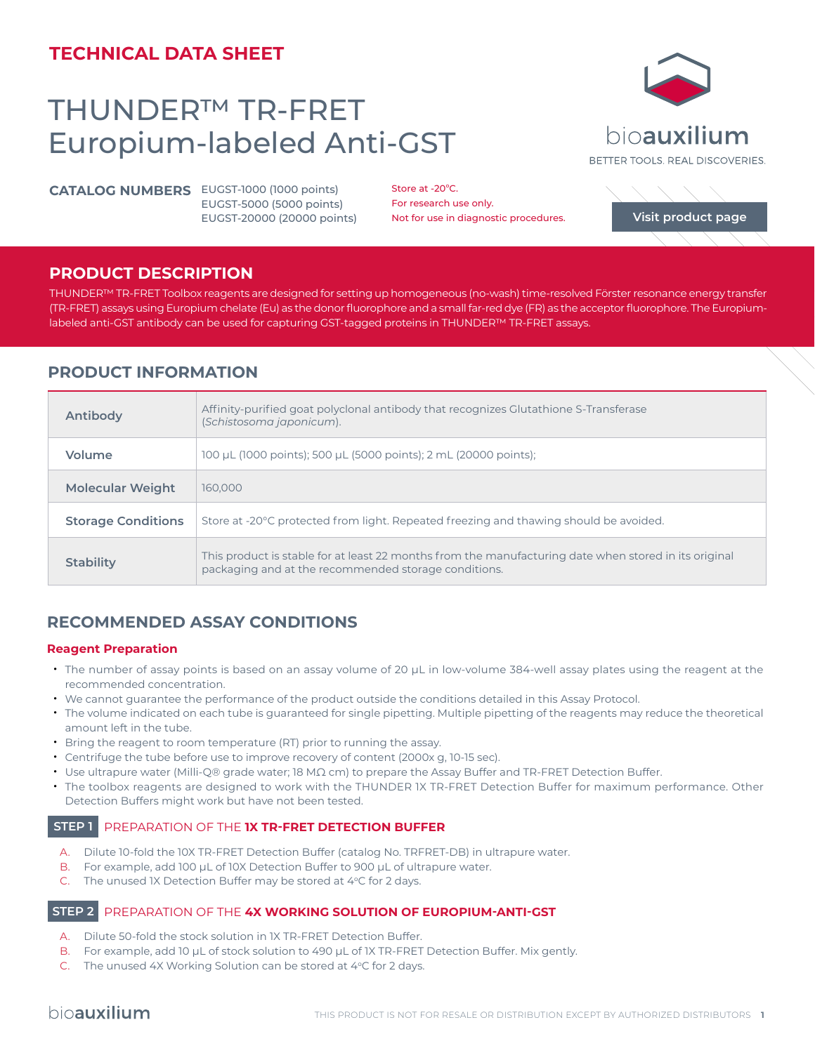# **TECHNICAL DATA SHEET**

# THUNDER™ TR-FRET Europium-labeled Anti-GST

**CATALOG NUMBERS** EUGST-1000 (1000 points) EUGST-5000 (5000 points) EUGST-20000 (20000 points)

Store at -20°C. For research use only. Not for use in diagnostic procedures.

## **PRODUCT DESCRIPTION**

THUNDER™ TR-FRET Toolbox reagents are designed for setting up homogeneous (no-wash) time-resolved Förster resonance energy transfer (TR-FRET) assays using Europium chelate (Eu) as the donor fluorophore and a small far-red dye (FR) as the acceptor fluorophore. The Europiumlabeled anti-GST antibody can be used for capturing GST-tagged proteins in THUNDER™ TR-FRET assays.

# **PRODUCT INFORMATION**

| Antibody                  | Affinity-purified goat polyclonal antibody that recognizes Glutathione S-Transferase<br>(Schistosoma japonicum).                                              |
|---------------------------|---------------------------------------------------------------------------------------------------------------------------------------------------------------|
| Volume                    | 100 µL (1000 points); 500 µL (5000 points); 2 mL (20000 points);                                                                                              |
| <b>Molecular Weight</b>   | 160,000                                                                                                                                                       |
| <b>Storage Conditions</b> | Store at -20°C protected from light. Repeated freezing and thawing should be avoided.                                                                         |
| <b>Stability</b>          | This product is stable for at least 22 months from the manufacturing date when stored in its original<br>packaging and at the recommended storage conditions. |

# **RECOMMENDED ASSAY CONDITIONS**

#### **Reagent Preparation**

- The number of assay points is based on an assay volume of 20 μL in low-volume 384-well assay plates using the reagent at the recommended concentration.
- We cannot guarantee the performance of the product outside the conditions detailed in this Assay Protocol.
- The volume indicated on each tube is guaranteed for single pipetting. Multiple pipetting of the reagents may reduce the theoretical amount left in the tube.
- Bring the reagent to room temperature (RT) prior to running the assay.
- Centrifuge the tube before use to improve recovery of content (2000x g, 10-15 sec).
- Use ultrapure water (Milli-Q® grade water; 18 MΩ cm) to prepare the Assay Buffer and TR-FRET Detection Buffer.
- The toolbox reagents are designed to work with the THUNDER 1X TR-FRET Detection Buffer for maximum performance. Other Detection Buffers might work but have not been tested.

## **STEP 1** PREPARATION OF THE **1X TR-FRET DETECTION BUFFER**

- A. Dilute 10-fold the 10X TR-FRET Detection Buffer (catalog No. TRFRET-DB) in ultrapure water.
- B. For example, add 100 µL of 10X Detection Buffer to 900 µL of ultrapure water.
- C. The unused IX Detection Buffer may be stored at  $4^{\circ}$ C for 2 days.

#### **STEP 2** PREPARATION OF THE **4X WORKING SOLUTION OF EUROPIUM-ANTI-GST**

- A. Dilute 50-fold the stock solution in 1X TR-FRET Detection Buffer.
- B. For example, add 10 µL of stock solution to 490 µL of 1X TR-FRET Detection Buffer. Mix gently.
- C. The unused 4X Working Solution can be stored at 4°C for 2 days.



**[Visit product page](https://bioauxilium.com/product/thunder-tr-fret-europium-labeled-anti-gst/)**

BETTER TOOLS, REAL DISCOVERIES.